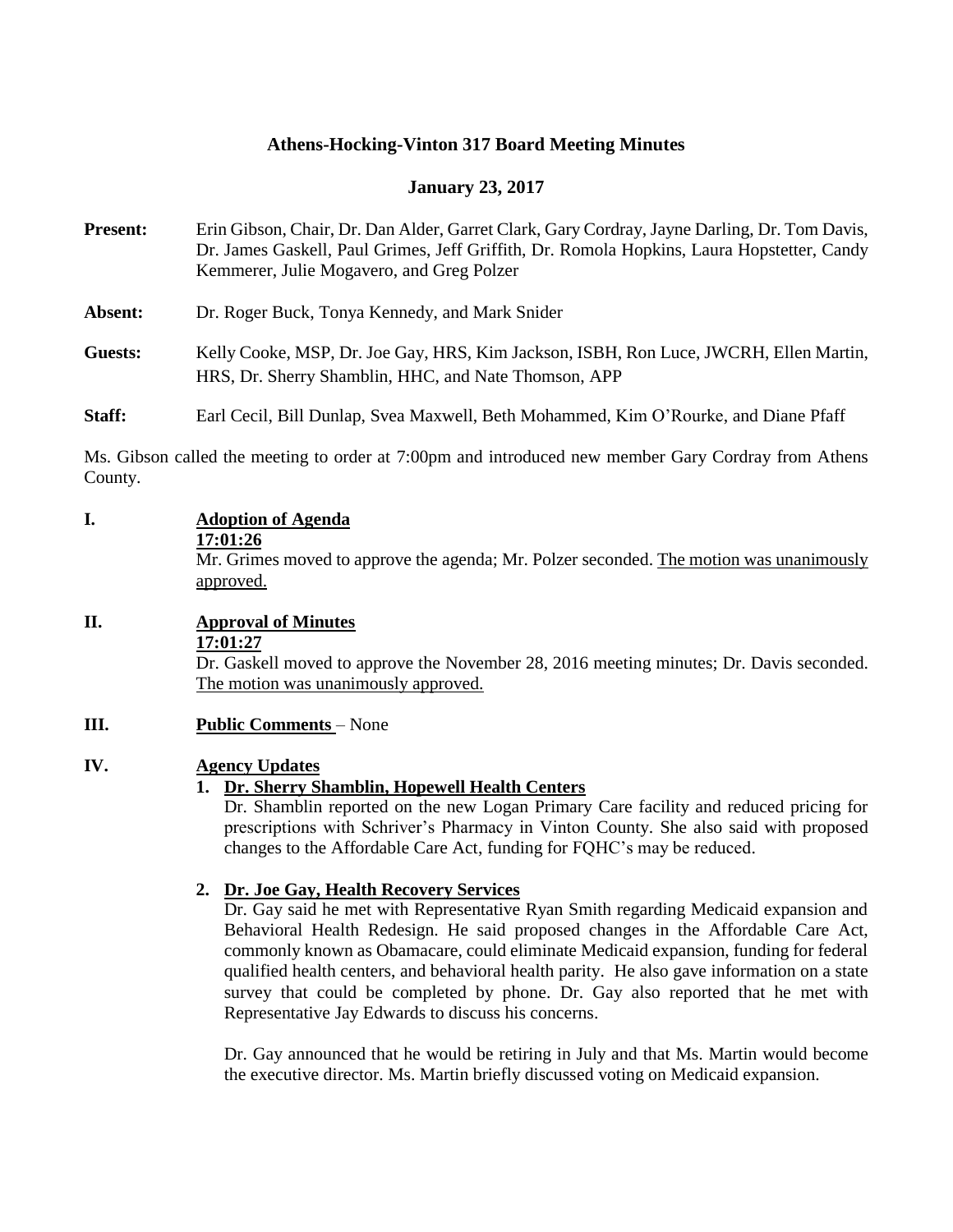# **Athens-Hocking-Vinton 317 Board Meeting Minutes**

#### **January 23, 2017**

| <b>Present:</b> | Erin Gibson, Chair, Dr. Dan Alder, Garret Clark, Gary Cordray, Jayne Darling, Dr. Tom Davis,<br>Dr. James Gaskell, Paul Grimes, Jeff Griffith, Dr. Romola Hopkins, Laura Hopstetter, Candy<br>Kemmerer, Julie Mogavero, and Greg Polzer |
|-----------------|-----------------------------------------------------------------------------------------------------------------------------------------------------------------------------------------------------------------------------------------|
| Absent:         | Dr. Roger Buck, Tonya Kennedy, and Mark Snider                                                                                                                                                                                          |
| Guests:         | Kelly Cooke, MSP, Dr. Joe Gay, HRS, Kim Jackson, ISBH, Ron Luce, JWCRH, Ellen Martin,<br>HRS, Dr. Sherry Shamblin, HHC, and Nate Thomson, APP                                                                                           |
| Staff:          | Earl Cecil, Bill Dunlap, Svea Maxwell, Beth Mohammed, Kim O'Rourke, and Diane Pfaff                                                                                                                                                     |

Ms. Gibson called the meeting to order at 7:00pm and introduced new member Gary Cordray from Athens County.

**I. Adoption of Agenda**

|      | 17:01:26<br>Mr. Grimes moved to approve the agenda; Mr. Polzer seconded. The motion was unanimously<br>approved.                                                                                                                                                                                                                                                                                                                                                                                                                                     |
|------|------------------------------------------------------------------------------------------------------------------------------------------------------------------------------------------------------------------------------------------------------------------------------------------------------------------------------------------------------------------------------------------------------------------------------------------------------------------------------------------------------------------------------------------------------|
| II.  | <b>Approval of Minutes</b><br>17:01:27<br>Dr. Gaskell moved to approve the November 28, 2016 meeting minutes; Dr. Davis seconded.<br>The motion was unanimously approved.                                                                                                                                                                                                                                                                                                                                                                            |
| III. | <b>Public Comments</b> – None                                                                                                                                                                                                                                                                                                                                                                                                                                                                                                                        |
| IV.  | <b>Agency Updates</b><br>1. Dr. Sherry Shamblin, Hopewell Health Centers<br>Dr. Shamblin reported on the new Logan Primary Care facility and reduced pricing for<br>prescriptions with Schriver's Pharmacy in Vinton County. She also said with proposed<br>changes to the Affordable Care Act, funding for FQHC's may be reduced.                                                                                                                                                                                                                   |
|      | 2. Dr. Joe Gay, Health Recovery Services<br>Dr. Gay said he met with Representative Ryan Smith regarding Medicaid expansion and<br>Behavioral Health Redesign. He said proposed changes in the Affordable Care Act,<br>commonly known as Obamacare, could eliminate Medicaid expansion, funding for federal<br>qualified health centers, and behavioral health parity. He also gave information on a state<br>survey that could be completed by phone. Dr. Gay also reported that he met with<br>Representative Jay Edwards to discuss his concerns. |
|      | Dr. Gay announced that he would be retiring in July and that Ms. Martin would become<br>the executive director. Ms. Martin briefly discussed voting on Medicaid expansion.                                                                                                                                                                                                                                                                                                                                                                           |
|      |                                                                                                                                                                                                                                                                                                                                                                                                                                                                                                                                                      |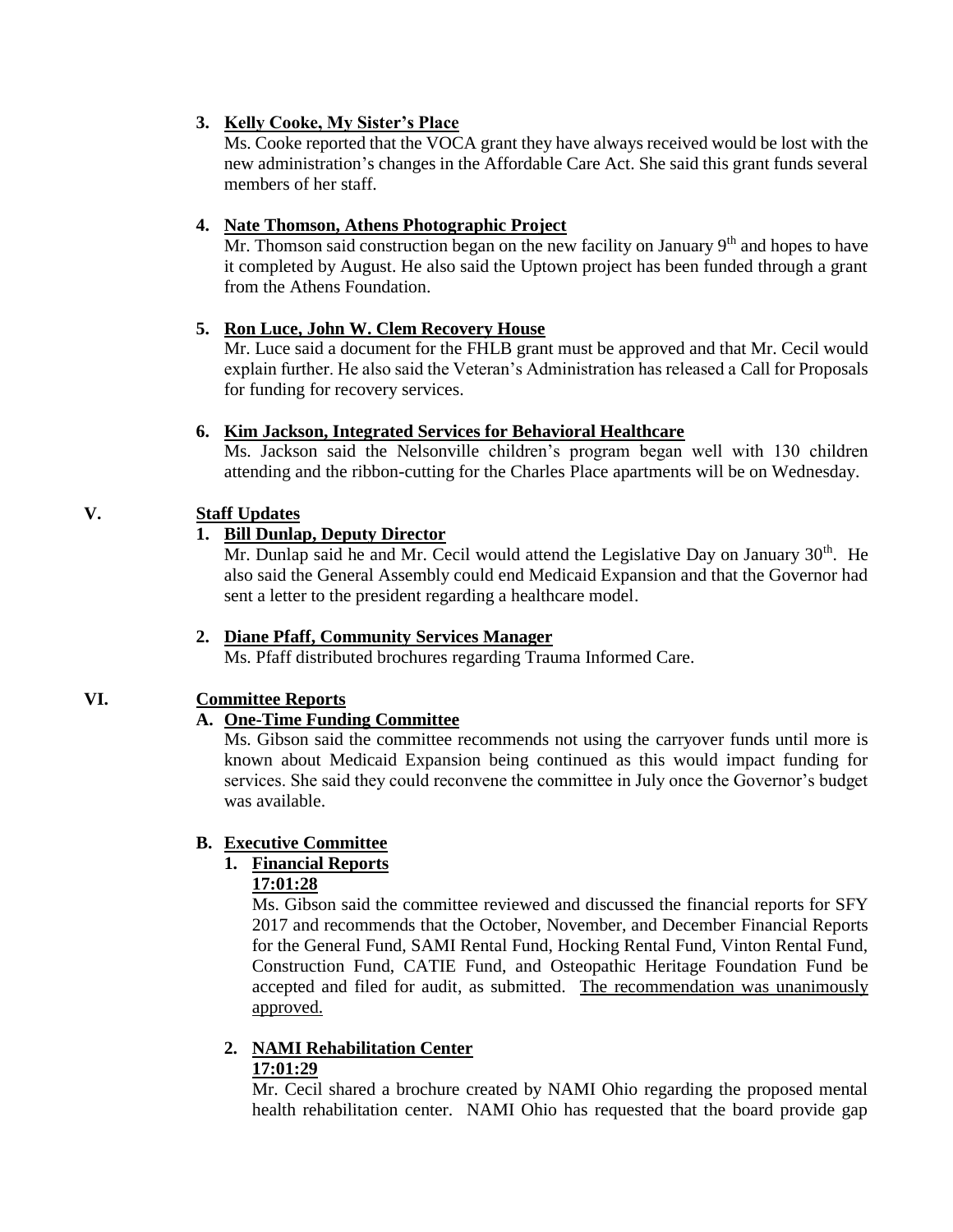#### **3. Kelly Cooke, My Sister's Place**

Ms. Cooke reported that the VOCA grant they have always received would be lost with the new administration's changes in the Affordable Care Act. She said this grant funds several members of her staff.

#### **4. Nate Thomson, Athens Photographic Project**

Mr. Thomson said construction began on the new facility on January  $9<sup>th</sup>$  and hopes to have it completed by August. He also said the Uptown project has been funded through a grant from the Athens Foundation.

## **5. Ron Luce, John W. Clem Recovery House**

Mr. Luce said a document for the FHLB grant must be approved and that Mr. Cecil would explain further. He also said the Veteran's Administration has released a Call for Proposals for funding for recovery services.

#### **6. Kim Jackson, Integrated Services for Behavioral Healthcare**

Ms. Jackson said the Nelsonville children's program began well with 130 children attending and the ribbon-cutting for the Charles Place apartments will be on Wednesday.

# **V. Staff Updates**

# **1. Bill Dunlap, Deputy Director**

Mr. Dunlap said he and Mr. Cecil would attend the Legislative Day on January 30<sup>th</sup>. He also said the General Assembly could end Medicaid Expansion and that the Governor had sent a letter to the president regarding a healthcare model.

## **2. Diane Pfaff, Community Services Manager**

Ms. Pfaff distributed brochures regarding Trauma Informed Care.

## **VI. Committee Reports**

## **A. One-Time Funding Committee**

Ms. Gibson said the committee recommends not using the carryover funds until more is known about Medicaid Expansion being continued as this would impact funding for services. She said they could reconvene the committee in July once the Governor's budget was available.

## **B. Executive Committee**

## **1. Financial Reports**

## **17:01:28**

Ms. Gibson said the committee reviewed and discussed the financial reports for SFY 2017 and recommends that the October, November, and December Financial Reports for the General Fund, SAMI Rental Fund, Hocking Rental Fund, Vinton Rental Fund, Construction Fund, CATIE Fund, and Osteopathic Heritage Foundation Fund be accepted and filed for audit, as submitted. The recommendation was unanimously approved.

#### **2. NAMI Rehabilitation Center 17:01:29**

Mr. Cecil shared a brochure created by NAMI Ohio regarding the proposed mental health rehabilitation center. NAMI Ohio has requested that the board provide gap